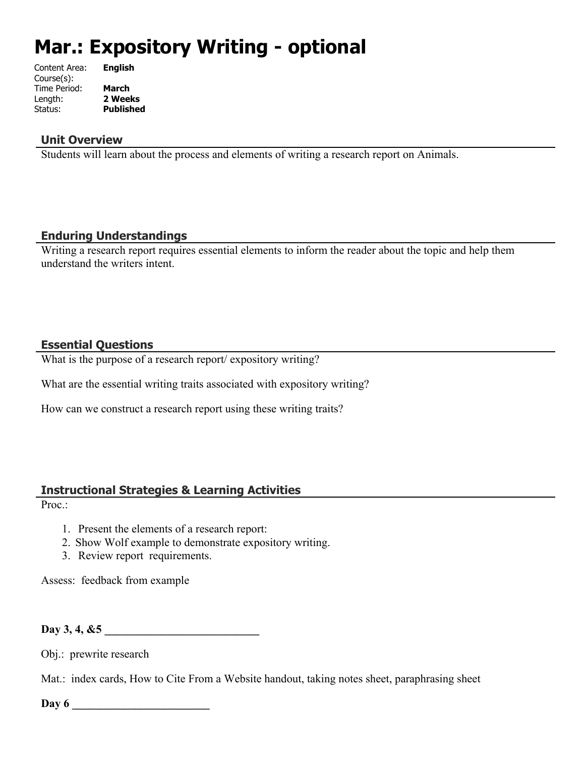# **Mar.: Expository Writing - optional**

| Content Area: | <b>English</b>   |
|---------------|------------------|
| Course(s):    |                  |
| Time Period:  | March            |
| Length:       | 2 Weeks          |
| Status:       | <b>Published</b> |
|               |                  |

## **Unit Overview**

Students will learn about the process and elements of writing a research report on Animals.

## **Enduring Understandings**

Writing a research report requires essential elements to inform the reader about the topic and help them understand the writers intent.

## **Essential Questions**

What is the purpose of a research report/ expository writing?

What are the essential writing traits associated with expository writing?

How can we construct a research report using these writing traits?

# **Instructional Strategies & Learning Activities**

Proc.:

- 1. Present the elements of a research report:
- 2. Show Wolf example to demonstrate expository writing.
- 3. Review report requirements.

Assess: feedback from example

# Day 3, 4, &5

Obj.: prewrite research

Mat.: index cards, How to Cite From a Website handout, taking notes sheet, paraphrasing sheet

**Day 6 \_\_\_\_\_\_\_\_\_\_\_\_\_\_\_\_\_\_\_\_\_\_\_\_**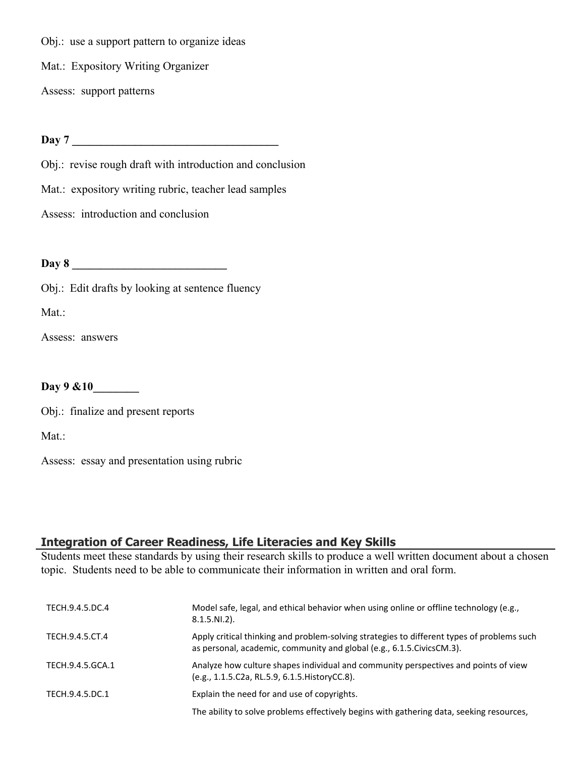Obj.: use a support pattern to organize ideas

Mat.: Expository Writing Organizer

Assess: support patterns

**Day 7 \_\_\_\_\_\_\_\_\_\_\_\_\_\_\_\_\_\_\_\_\_\_\_\_\_\_\_\_\_\_\_\_\_\_\_\_**

Obj.: revise rough draft with introduction and conclusion

Mat.: expository writing rubric, teacher lead samples

Assess: introduction and conclusion

**Day 8 \_\_\_\_\_\_\_\_\_\_\_\_\_\_\_\_\_\_\_\_\_\_\_\_\_\_\_**

Obj.: Edit drafts by looking at sentence fluency

Mat.:

Assess: answers

**Day 9 &10\_\_\_\_\_\_\_\_**

Obj.: finalize and present reports

Mat.:

Assess: essay and presentation using rubric

# **Integration of Career Readiness, Life Literacies and Key Skills**

Students meet these standards by using their research skills to produce a well written document about a chosen topic. Students need to be able to communicate their information in written and oral form.

| TECH.9.4.5.DC.4  | Model safe, legal, and ethical behavior when using online or offline technology (e.g.,<br>$8.1.5.NI.2$ ).                                                             |
|------------------|-----------------------------------------------------------------------------------------------------------------------------------------------------------------------|
| TECH.9.4.5.CT.4  | Apply critical thinking and problem-solving strategies to different types of problems such<br>as personal, academic, community and global (e.g., 6.1.5. Civics CM.3). |
| TECH.9.4.5.GCA.1 | Analyze how culture shapes individual and community perspectives and points of view<br>(e.g., 1.1.5.C2a, RL.5.9, 6.1.5. History CC.8).                                |
| TECH.9.4.5.DC.1  | Explain the need for and use of copyrights.                                                                                                                           |
|                  | The ability to solve problems effectively begins with gathering data, seeking resources,                                                                              |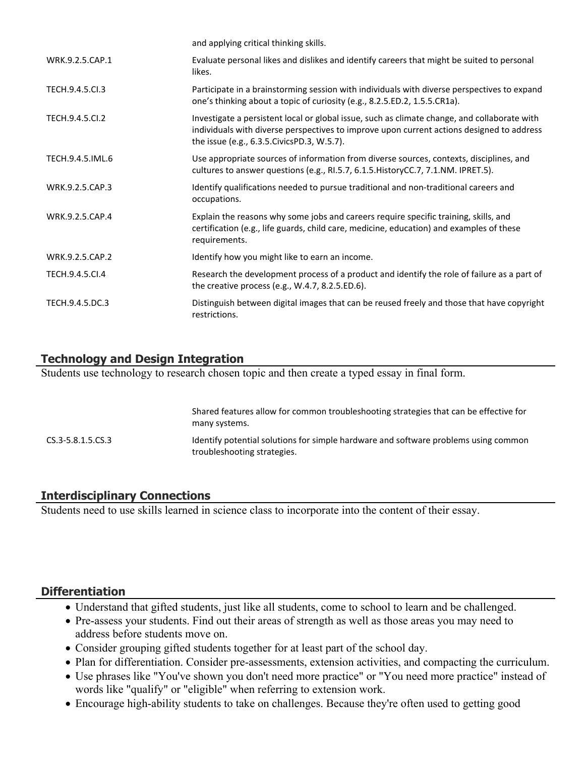| and applying critical thinking skills.                                                                                                                                                                                                    |
|-------------------------------------------------------------------------------------------------------------------------------------------------------------------------------------------------------------------------------------------|
| Evaluate personal likes and dislikes and identify careers that might be suited to personal<br>likes.                                                                                                                                      |
| Participate in a brainstorming session with individuals with diverse perspectives to expand<br>one's thinking about a topic of curiosity (e.g., 8.2.5.ED.2, 1.5.5.CR1a).                                                                  |
| Investigate a persistent local or global issue, such as climate change, and collaborate with<br>individuals with diverse perspectives to improve upon current actions designed to address<br>the issue (e.g., 6.3.5. Civics PD.3, W.5.7). |
| Use appropriate sources of information from diverse sources, contexts, disciplines, and<br>cultures to answer questions (e.g., RI.5.7, 6.1.5. History CC.7, 7.1. NM. IPRET.5).                                                            |
| Identify qualifications needed to pursue traditional and non-traditional careers and<br>occupations.                                                                                                                                      |
| Explain the reasons why some jobs and careers require specific training, skills, and<br>certification (e.g., life guards, child care, medicine, education) and examples of these<br>requirements.                                         |
| Identify how you might like to earn an income.                                                                                                                                                                                            |
| Research the development process of a product and identify the role of failure as a part of<br>the creative process (e.g., W.4.7, 8.2.5.ED.6).                                                                                            |
| Distinguish between digital images that can be reused freely and those that have copyright<br>restrictions.                                                                                                                               |
|                                                                                                                                                                                                                                           |

# **Technology and Design Integration**

Students use technology to research chosen topic and then create a typed essay in final form.

|                       | <u>Shared reatares allow for common troubleshooting strategies that can be encerne for</u><br>many systems.        |
|-----------------------|--------------------------------------------------------------------------------------------------------------------|
| $CS.3 - 5.8.1.5.CS.3$ | Identify potential solutions for simple hardware and software problems using common<br>troubleshooting strategies. |

Shared features allow for common troubleshooting strategies that can be effective for

# **Interdisciplinary Connections**

Students need to use skills learned in science class to incorporate into the content of their essay.

## **Differentiation**

- Understand that gifted students, just like all students, come to school to learn and be challenged.
- Pre-assess your students. Find out their areas of strength as well as those areas you may need to address before students move on.
- Consider grouping gifted students together for at least part of the school day.
- Plan for differentiation. Consider pre-assessments, extension activities, and compacting the curriculum.
- Use phrases like "You've shown you don't need more practice" or "You need more practice" instead of words like "qualify" or "eligible" when referring to extension work.
- Encourage high-ability students to take on challenges. Because they're often used to getting good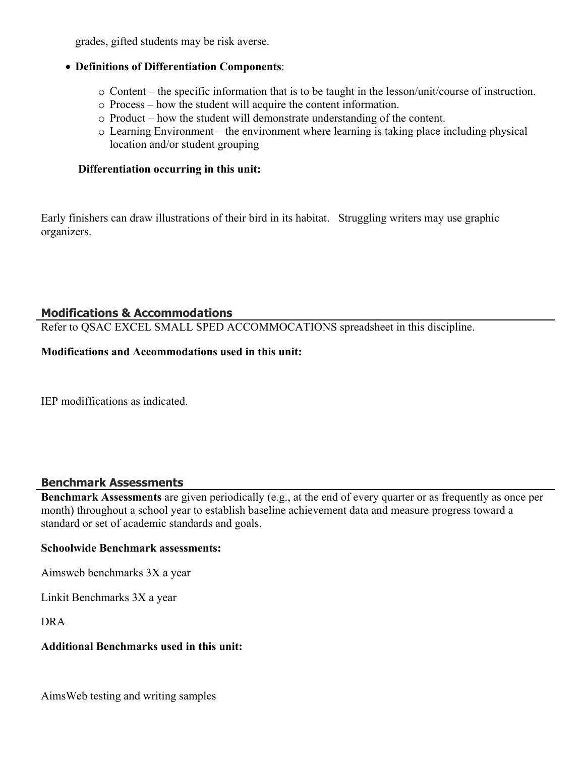grades, gifted students may be risk averse.

## **Definitions of Differentiation Components**:

- o Content the specific information that is to be taught in the lesson/unit/course of instruction.
- o Process how the student will acquire the content information.
- o Product how the student will demonstrate understanding of the content.
- o Learning Environment the environment where learning is taking place including physical location and/or student grouping

## **Differentiation occurring in this unit:**

Early finishers can draw illustrations of their bird in its habitat. Struggling writers may use graphic organizers.

# **Modifications & Accommodations**

Refer to QSAC EXCEL SMALL SPED ACCOMMOCATIONS spreadsheet in this discipline.

## **Modifications and Accommodations used in this unit:**

IEP modiffications as indicated.

# **Benchmark Assessments**

**Benchmark Assessments** are given periodically (e.g., at the end of every quarter or as frequently as once per month) throughout a school year to establish baseline achievement data and measure progress toward a standard or set of academic standards and goals.

## **Schoolwide Benchmark assessments:**

Aimsweb benchmarks 3X a year

Linkit Benchmarks 3X a year

DRA

# **Additional Benchmarks used in this unit:**

AimsWeb testing and writing samples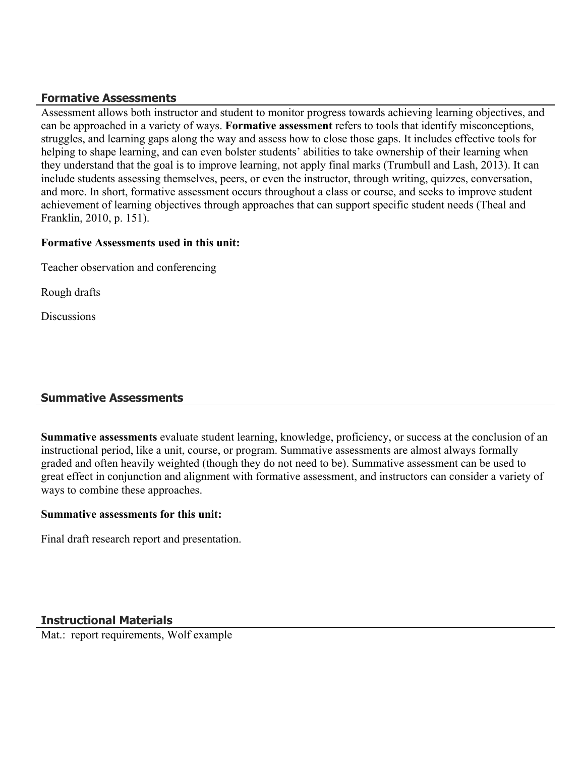## **Formative Assessments**

Assessment allows both instructor and student to monitor progress towards achieving learning objectives, and can be approached in a variety of ways. **Formative assessment** refers to tools that identify misconceptions, struggles, and learning gaps along the way and assess how to close those gaps. It includes effective tools for helping to shape learning, and can even bolster students' abilities to take ownership of their learning when they understand that the goal is to improve learning, not apply final marks (Trumbull and Lash, 2013). It can include students assessing themselves, peers, or even the instructor, through writing, quizzes, conversation, and more. In short, formative assessment occurs throughout a class or course, and seeks to improve student achievement of learning objectives through approaches that can support specific student needs (Theal and Franklin, 2010, p. 151).

## **Formative Assessments used in this unit:**

Teacher observation and conferencing

Rough drafts

**Discussions** 

# **Summative Assessments**

**Summative assessments** evaluate student learning, knowledge, proficiency, or success at the conclusion of an instructional period, like a unit, course, or program. Summative assessments are almost always formally graded and often heavily weighted (though they do not need to be). Summative assessment can be used to great effect in conjunction and alignment with formative assessment, and instructors can consider a variety of ways to combine these approaches.

#### **Summative assessments for this unit:**

Final draft research report and presentation.

## **Instructional Materials**

Mat.: report requirements, Wolf example